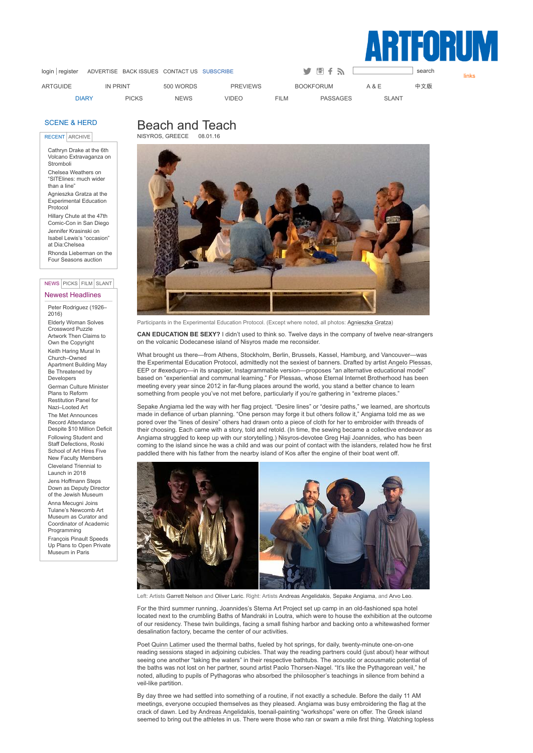

links

[login](http://artforum.com/diary/signin=1) | [register](https://artforum.com/register/) [ADVERTISE](http://artforum.com/advertise/) BACK [ISSUES](http://artforum.com/back_issues/) [CONTACT](http://artforum.com/contact/) US [SUBSCRIBE](https://www.ezsubscription.com/art/subscribe.asp) Search Search Search Search Search Search Search Se

[ARTGUIDE](http://artforum.com/guide/) IN [PRINT](https://artforum.com/inprint/) 500 [WORDS](http://artforum.com/words/) [PREVIEWS](http://artforum.com/museums/) [BOOKFORUM](http://bookforum.com/) A [&](http://www.artandeducation.net/) E [中文版](http://artforum.com.cn/) [DIARY](http://artforum.com/diary/) [PICKS](http://artforum.com/picks/) [NEWS](http://artforum.com/news/) [VIDEO](http://artforum.com/video/) [FILM](http://artforum.com/film/) [PASSAGES](http://artforum.com/passages/) [SLANT](http://artforum.com/slant/)

## [SCENE](http://artforum.com/diary/) & HERD

RECENT ARCHIVE

Cathryn Drake at the 6th Volcano [Extravaganza](http://artforum.com/diary/#entry62531) on Stromboli Chelsea Weathers on ["SITElines:](http://artforum.com/diary/#entry62521) much wider than a line" Agnieszka Gratza at the [Experimental](http://artforum.com/diary/#entry62460) Education Protocol Hillary Chute at the 47th Comic-Con in San Diego Jennifer Krasinski on Isabel Lewis's "occasion" at [Dia:Chelsea](http://artforum.com/diary/#entry62446) Rhonda [Lieberman](http://artforum.com/diary/#entry62420) on the Four Seasons auction

## Newest Headlines NEWS PICKS FILM SLANT

Peter [Rodriguez](http://artforum.com/news/#news62644) (1926– 2016)

Elderly Woman Solves [Crossword](http://artforum.com/news/#news62642) Puzzle Artwork Then Claims to Own the Copyright Keith Haring Mural In [Church–Owned](http://artforum.com/news/#news62641) Apartment Building May Be Threatened by Developers German Culture Minister Plans to Reform Restitution Panel for [Nazi–Looted](http://artforum.com/news/#news62638) Art The Met Announces Record [Attendance](http://artforum.com/news/#news62634) Despite \$10 Million Deficit Following Student and Staff [Defections,](http://artforum.com/archive/id=62551) Roski School of Art Hires Five New Faculty Members [Cleveland](http://artforum.com/archive/id=62613) Triennial to Launch in 2018 Jens [Hoffmann](http://artforum.com/archive/id=62550) Steps Down as Deputy Director of the Jewish Museum Anna Mecugni Joins Tulane's Newcomb Art Museum as Curator and Coordinator of Academic [Programming](http://artforum.com/archive/id=62553) [François](http://artforum.com/archive/id=62542) Pinault Speeds Up Plans to Open Private Museum in Paris

## Beach and Teach NISYROS, GREECE



Participants in the Experimental Education Protocol. (Except where noted, all photos: [Agnieszka](http://artforum.com/contributors/name=agnieszka-gratza) Gratza)

**CAN EDUCATION BE SEXY?** I didn't used to think so. Twelve days in the company of twelve nearstrangers on the volcanic Dodecanese island of Nisyros made me reconsider.

What brought us there—from Athens, Stockholm, Berlin, Brussels, Kassel, Hamburg, and Vancouver—was the Experimental Education Protocol, admittedly not the sexiest of banners. Drafted by artist Angelo [Plessas](http://artforum.com/search/search=%22Angelo%20Plessas%22), EEP or #exedupro—in its snappier, Instagrammable version—proposes "an alternative educational model" based on "experiential and communal learning." For Plessas, whose Eternal Internet Brotherhood has been meeting every year since 2012 in far-flung places around the world, you stand a better chance to learn something from people you've not met before, particularly if you're gathering in "extreme places."

Sepake [Angiama](http://artforum.com/search/search=%22Sepake%20Angiama%22) led the way with her flag project. "Desire lines" or "desire paths," we learned, are shortcuts made in defiance of urban planning. "One person may forge it but others follow it," Angiama told me as we pored over the "lines of desire" others had drawn onto a piece of cloth for her to embroider with threads of their choosing. Each came with a story, told and retold. (In time, the sewing became a collective endeavor as Angiama struggled to keep up with our storytelling.) Nisyros-devotee Greg Haji [Joannides,](http://artforum.com/search/search=%22Greg%20Haji%20Joannides%22) who has been coming to the island since he was a child and was our point of contact with the islanders, related how he first paddled there with his father from the nearby island of Kos after the engine of their boat went off.



Left: Artists [Garrett](http://artforum.com/search/search=%22Garrett%20Nelson%22) Nelson and [Oliver](http://artforum.com/search/search=%22Oliver%20Laric%22) Laric. Right: Artists Andreas [Angelidakis](http://artforum.com/search/search=%22Andreas%20Angelidakis%22), Sepake [Angiama](http://artforum.com/search/search=%22Sepake%20Angiama%22), and [Arvo](http://artforum.com/search/search=%22Arvo%20Leo%22) Leo.

For the third summer running, Joannides's Sterna Art Project set up camp in an old-fashioned spa hotel located next to the crumbling Baths of Mandraki in Loutra, which were to house the exhibition at the outcome of our residency. These twin buildings, facing a small fishing harbor and backing onto a whitewashed former desalination factory, became the center of our activities.

Poet Quinn [Latimer](http://artforum.com/search/search=%22Quinn%20Latimer%22) used the thermal baths, fueled by hot springs, for daily, twenty-minute one-on-one reading sessions staged in adjoining cubicles. That way the reading partners could (just about) hear without seeing one another "taking the waters" in their respective bathtubs. The acoustic or acousmatic potential of the baths was not lost on her partner, sound artist Paolo Thorsen-Nagel. "It's like the Pythagorean veil," he noted, alluding to pupils of Pythagoras who absorbed the philosopher's teachings in silence from behind a veil-like partition.

By day three we had settled into something of a routine, if not exactly a schedule. Before the daily 11 AM meetings, everyone occupied themselves as they pleased. Angiama was busy embroidering the flag at the crack of dawn. Led by Andreas [Angelidakis](http://artforum.com/search/search=%22Andreas%20Angelidakis%22), toenail-painting "workshops" were on offer. The Greek island seemed to bring out the athletes in us. There were those who ran or swam a mile first thing. Watching topless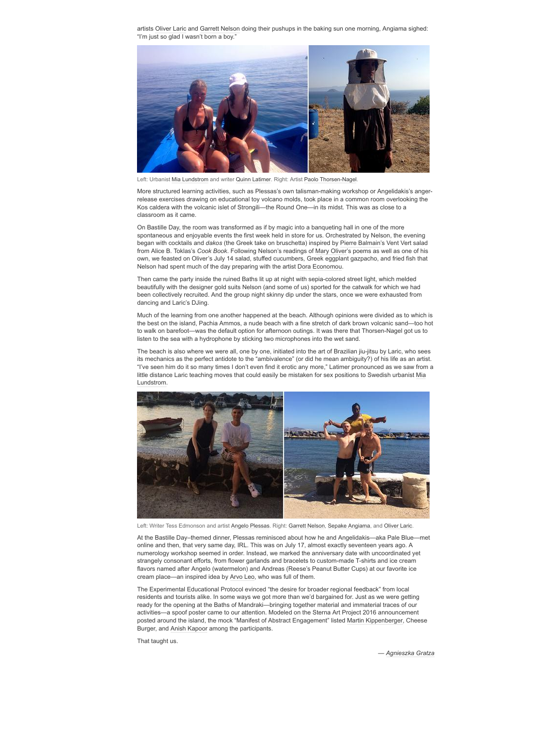artists [Oliver](http://artforum.com/search/search=%22Oliver%20Laric%22) Laric and Garrett [Nelson](http://artforum.com/search/search=%22Garrett%20Nelson%22) doing their pushups in the baking sun one morning, Angiama sighed: "I'm just so glad I wasn't born a boy."



Left: Urbanist Mia [Lundstrom](http://artforum.com/search/search=%22Mia%20Lundstrom%22) and writer Quinn [Latimer](http://artforum.com/search/search=%22Quinn%20Latimer%22). Right: Artist Paolo Thorsen-Nagel.

More structured learning activities, such as Plessas's own talisman-making workshop or Angelidakis's angerrelease exercises drawing on educational toy volcano molds, took place in a common room overlooking the Kos caldera with the volcanic islet of Strongili—the Round One—in its midst. This was as close to a classroom as it came.

On Bastille Day, the room was transformed as if by magic into a banqueting hall in one of the more spontaneous and enjoyable events the first week held in store for us. Orchestrated by Nelson, the evening began with cocktails and *dakos* (the Greek take on bruschetta) inspired by Pierre [Balmain](http://artforum.com/search/search=%22Pierre%20Balmain%22)'s Vent Vert salad from Alice B. Toklas's *Cook Book*. Following Nelson's readings of Mary [Oliver](http://artforum.com/search/search=%22Mary%20Oliver%22)'s poems as well as one of his own, we feasted on Oliver's July 14 salad, stuffed cucumbers, Greek eggplant gazpacho, and fried fish that Nelson had spent much of the day preparing with the artist Dora [Economou](http://artforum.com/search/search=%22Dora%20Economou%22).

Then came the party inside the ruined Baths lit up at night with sepia-colored street light, which melded beautifully with the designer gold suits Nelson (and some of us) sported for the catwalk for which we had been collectively recruited. And the group night skinny dip under the stars, once we were exhausted from dancing and Laric's DJing.

Much of the learning from one another happened at the beach. Although opinions were divided as to which is the best on the island, Pachia Ammos, a nude beach with a fine stretch of dark brown volcanic sand—too hot to walk on barefoot—was the default option for afternoon outings. It was there that Thorsen-Nagel got us to listen to the sea with a hydrophone by sticking two microphones into the wet sand.

The beach is also where we were all, one by one, initiated into the art of Brazilian jiu-jitsu by Laric, who sees its mechanics as the perfect antidote to the "ambivalence" (or did he mean ambiguity?) of his life as an artist. "I've seen him do it so many times I don't even find it erotic any more," Latimer pronounced as we saw from a little distance Laric teaching moves that could easily be mistaken for sex positions to Swedish urbanist Mia [Lundstrom.](http://artforum.com/search/search=%22Mia%20Lundstrom%22)



Left: Writer Tess Edmonson and artist Angelo [Plessas](http://artforum.com/search/search=%22Angelo%20Plessas%22). Right: Garrett [Nelson,](http://artforum.com/search/search=%22Garrett%20Nelson%22) Sepake [Angiama](http://artforum.com/search/search=%22Sepake%20Angiama%22), and [Oliver](http://artforum.com/search/search=%22Oliver%20Laric%22) Laric.

At the Bastille Day–themed dinner, Plessas reminisced about how he and Angelidakis—aka Pale Blue—met online and then, that very same day, IRL. This was on July 17, almost exactly seventeen years ago. A numerology workshop seemed in order. Instead, we marked the anniversary date with uncoordinated yet strangely consonant efforts, from flower garlands and bracelets to custom-made T-shirts and ice cream flavors named after Angelo (watermelon) and Andreas (Reese's Peanut Butter Cups) at our favorite ice cream place—an inspired idea by [Arvo](http://artforum.com/search/search=%22Arvo%20Leo%22) Leo, who was full of them.

The Experimental Educational Protocol evinced "the desire for broader regional feedback" from local residents and tourists alike. In some ways we got more than we'd bargained for. Just as we were getting ready for the opening at the Baths of Mandraki—bringing together material and immaterial traces of our activities—a spoof poster came to our attention. Modeled on the Sterna Art Project 2016 announcement posted around the island, the mock "Manifest of Abstract Engagement" listed Martin [Kippenberger,](http://artforum.com/search/search=%22Martin%20Kippenberger%22) Cheese Burger, and Anish [Kapoor](http://artforum.com/search/search=%22Anish%20Kapoor%22) among the participants.

That taught us.

*— [Agnieszka](http://artforum.com/contributors/name=agnieszka-gratza) Gratza*